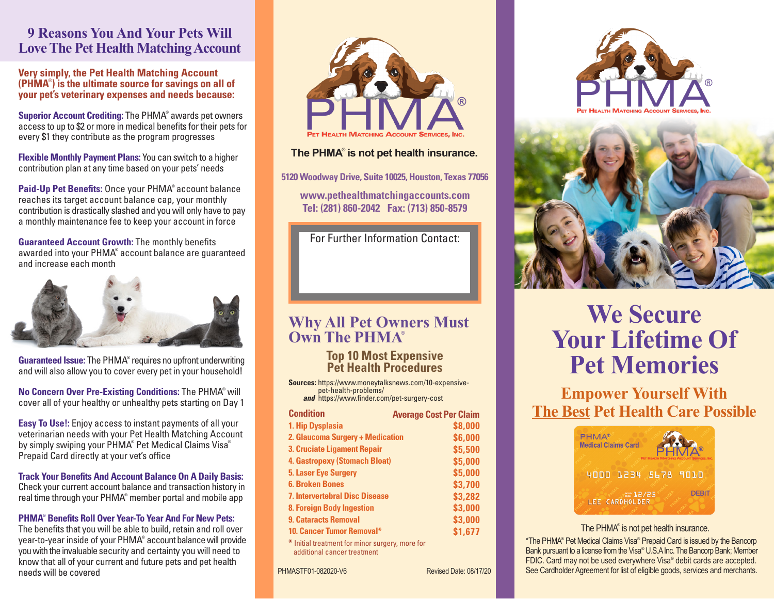### **9 Reasons You And Your Pets Will Love The Pet Health Matching Account**

**Very simply, the Pet Health Matching Account (PHMA**® **) is the ultimate source for savings on all of your pet's veterinary expenses and needs because:**

**Superior Account Crediting:** The PHMA® awards pet owners access to up to \$2 or more in medical benefits for their pets for every \$1 they contribute as the program progresses

**Flexible Monthly Payment Plans:** You can switch to a higher contribution plan at any time based on your pets' needs

**Paid-Up Pet Benefits:** Once your PHMA® account balance reaches its target account balance cap, your monthly contribution is drastically slashed and you will only have to pay a monthly maintenance fee to keep your account in force

**Guaranteed Account Growth:** The monthly benefits awarded into your PHMA® account balance are guaranteed and increase each month



Guaranteed Issue: The PHMA<sup>®</sup> requires no upfront underwriting and will also allow you to cover every pet in your household!

**No Concern Over Pre-Existing Conditions:** The PHMA® will cover all of your healthy or unhealthy pets starting on Day 1

**Easy To Use!:** Enjoy access to instant payments of all your veterinarian needs with your Pet Health Matching Account by simply swiping your PHMA® Pet Medical Claims Visa® Prepaid Card directly at your vet's office

**Track Your Benefits And Account Balance On A Daily Basis:** Check your current account balance and transaction history in real time through your PHMA® member portal and mobile app

#### **PHMA**®  **Benefits Roll Over Year-To Year And For New Pets:**

The benefits that you will be able to build, retain and roll over year-to-year inside of your PHMA® account balance will provide you with the invaluable security and certainty you will need to know that all of your current and future pets and pet health needs will be covered



#### **The PHMA**® **is not pet health insurance.**

**5120 Woodway Drive, Suite 10025, Houston, Texas 77056**

**www.pethealthmatchingaccounts.com Tel: (281) 860-2042 Fax: (713) 850-8579**

For Further Information Contact:

## **Why All Pet Owners Must Own The PHMA**®

**Top 10 Most Expensive Pet Health Procedures**

**Sources:** https://www.moneytalksnews.com/10-expensive pet-health-problems/ *and* https://www.finder.com/pet-surgery-cost

| <b>Condition</b>                                                               | <b>Average Cost Per Claim</b> |  |
|--------------------------------------------------------------------------------|-------------------------------|--|
| 1. Hip Dysplasia                                                               | \$8,000                       |  |
| 2. Glaucoma Surgery + Medication                                               | \$6,000                       |  |
| 3. Cruciate Ligament Repair                                                    | \$5,500                       |  |
| <b>4. Gastropexy (Stomach Bloat)</b>                                           | \$5,000                       |  |
| <b>5. Laser Eye Surgery</b>                                                    | \$5,000                       |  |
| <b>6. Broken Bones</b>                                                         | \$3,700                       |  |
| <b>7. Intervertebral Disc Disease</b>                                          | \$3,282                       |  |
| <b>8. Foreign Body Ingestion</b>                                               | \$3,000                       |  |
| <b>9. Cataracts Removal</b>                                                    | \$3,000                       |  |
| <b>10. Cancer Tumor Removal*</b>                                               | \$1,677                       |  |
| * Initial treatment for minor surgery, more for<br>additional cancer treatment |                               |  |

PHMASTF01-082020-V6 Revised Date: 08/17/20





# **We Secure Your Lifetime Of Pet Memories**

**Empower Yourself With The Best Pet Health Care Possible**



#### The PHMA<sup>®</sup> is not pet health insurance.

\*The PHMA® Pet Medical Claims Visa® Prepaid Card is issued by the Bancorp Bank pursuant to a license from the Visa® U.S.A Inc. The Bancorp Bank; Member FDIC. Card may not be used everywhere Visa® debit cards are accepted. See Cardholder Agreement for list of eligible goods, services and merchants.